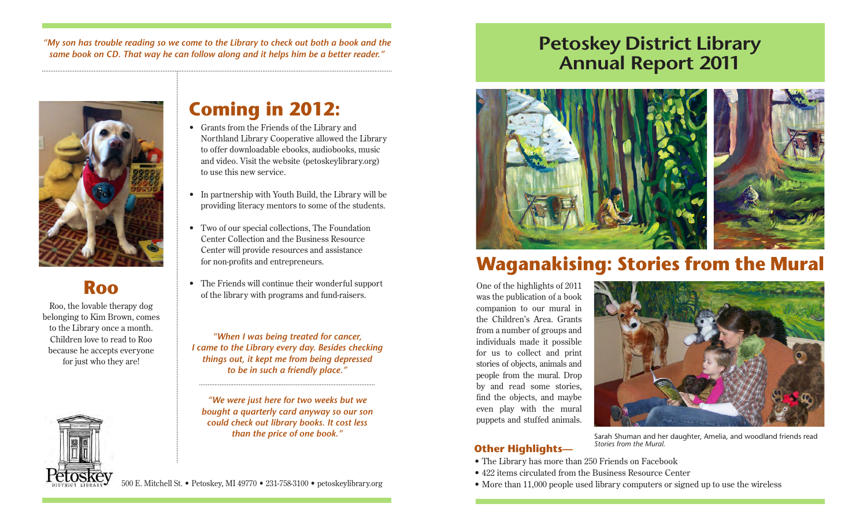*"My son has trouble reading so we come to the Library to check out both a book and the same book on CD. That way he can follow along and it helps him be a better reader."*



## **Roo**

Roo, the lovable therapy dog belonging to Kim Brown, comes to the Library once a month. Children love to read to Roo because he accepts everyone for just who they are!



## **Coming in 2012:**

- Grants from the Friends of the Library and Northland Library Cooperative allowed the Library to offer downloadable ebooks, audiobooks, music and video. Visit the website (petoskeylibrary.org) to use this new service.
- In partnership with Youth Build, the Library will be providing literacy mentors to some of the students.
- Two of our special collections, The Foundation Center Collection and the Business Resource Center will provide resources and assistance for non-profits and entrepreneurs.
- The Friends will continue their wonderful support of the library with programs and fund-raisers.

*"When I was being treated for cancer, I came to the Library every day. Besides checking things out, it kept me from being depressed to be in such a friendly place."*

*"We were just here for two weeks but we bought a quarterly card anyway so our son could check out library books. It cost less* 

## **Petoskey District Library Annual Report 2011**



# **Waganakising: Stories from the Mural**

One of the highlights of 2011 was the publication of a book companion to our mural in the Children's Area. Grants from a number of groups and individuals made it possible for us to collect and print stories of objects, animals and people from the mural. Drop by and read some stories, find the objects, and maybe even play with the mural puppets and stuffed animals.



### **Other Highlights—**

**than the price of one book."** Sarah Shuman and her daughter, Amelia, and woodland friends read *Stories from the Mural.*

- The Library has more than 250 Friends on Facebook
- 422 items circulated from the Business Resource Center
- 500 E. Mitchell St. Petoskey, MI 49770 231-758-3100 petoskeylibrary.org More than 11,000 people used library computers or signed up to use the wireless